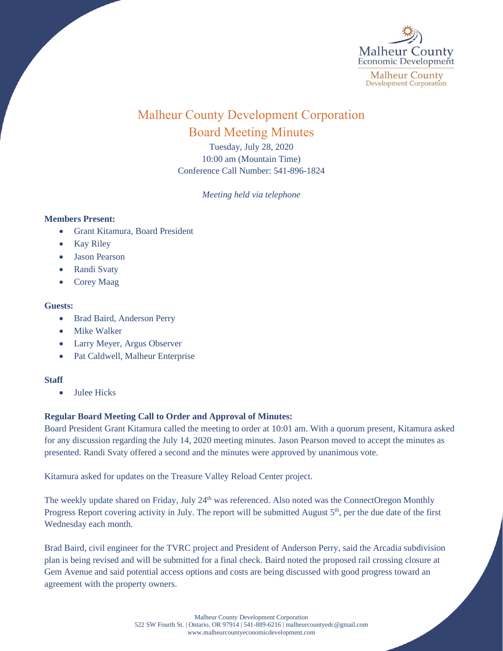

# Malheur County Development Corporation Board Meeting Minutes

Tuesday, July 28, 2020 10:00 am (Mountain Time) Conference Call Number: 541-896-1824

*Meeting held via telephone*

# **Members Present:**

- Grant Kitamura, Board President
- Kay Riley
- Jason Pearson
- Randi Svaty
- Corey Maag

# **Guests:**

- Brad Baird, Anderson Perry
- Mike Walker
- Larry Meyer, Argus Observer
- Pat Caldwell, Malheur Enterprise

# **Staff**

**Julee Hicks** 

# **Regular Board Meeting Call to Order and Approval of Minutes:**

Board President Grant Kitamura called the meeting to order at 10:01 am. With a quorum present, Kitamura asked for any discussion regarding the July 14, 2020 meeting minutes. Jason Pearson moved to accept the minutes as presented. Randi Svaty offered a second and the minutes were approved by unanimous vote.

Kitamura asked for updates on the Treasure Valley Reload Center project.

The weekly update shared on Friday, July 24<sup>th</sup> was referenced. Also noted was the ConnectOregon Monthly Progress Report covering activity in July. The report will be submitted August  $5<sup>th</sup>$ , per the due date of the first Wednesday each month.

Brad Baird, civil engineer for the TVRC project and President of Anderson Perry, said the Arcadia subdivision plan is being revised and will be submitted for a final check. Baird noted the proposed rail crossing closure at Gem Avenue and said potential access options and costs are being discussed with good progress toward an agreement with the property owners.

> Malheur County Development Corporation 522 SW Fourth St. | Ontario, OR 97914 | 541-889-6216 [| malheurcountyedc@gmail.com](mailto:malheurcountyedc@gmail.com) [www.malheurcountyeconomicdevelopment.com](http://www.malheurcountyeconomicdevelopment.com/)